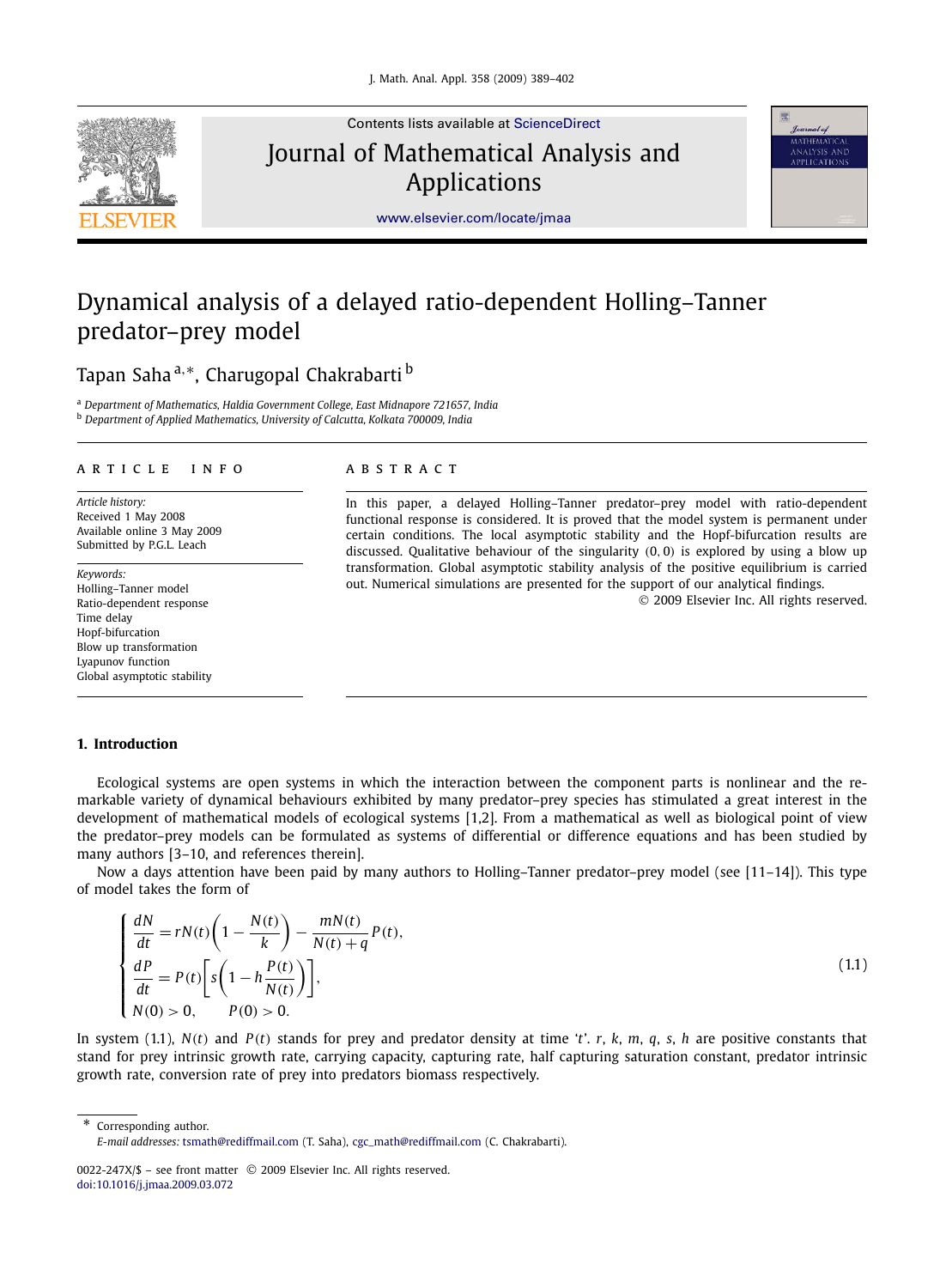

Contents lists available at [ScienceDirect](http://www.ScienceDirect.com/) Journal of Mathematical Analysis and Applications



[www.elsevier.com/locate/jmaa](http://www.elsevier.com/locate/jmaa)

# Dynamical analysis of a delayed ratio-dependent Holling–Tanner predator–prey model

## Tapan Saha <sup>a,</sup>\*, Charugopal Chakrabarti <sup>b</sup>

<sup>a</sup> *Department of Mathematics, Haldia Government College, East Midnapore 721657, India* <sup>b</sup> *Department of Applied Mathematics, University of Calcutta, Kolkata 700009, India*

#### article info abstract

*Article history:* Received 1 May 2008 Available online 3 May 2009 Submitted by P.G.L. Leach

*Keywords:* Holling–Tanner model Ratio-dependent response Time delay Hopf-bifurcation Blow up transformation Lyapunov function Global asymptotic stability

In this paper, a delayed Holling–Tanner predator–prey model with ratio-dependent functional response is considered. It is proved that the model system is permanent under certain conditions. The local asymptotic stability and the Hopf-bifurcation results are discussed. Qualitative behaviour of the singularity (0, 0) is explored by using a blow up transformation. Global asymptotic stability analysis of the positive equilibrium is carried out. Numerical simulations are presented for the support of our analytical findings.

2009 Elsevier Inc. All rights reserved.

#### **1. Introduction**

Ecological systems are open systems in which the interaction between the component parts is nonlinear and the remarkable variety of dynamical behaviours exhibited by many predator–prey species has stimulated a great interest in the development of mathematical models of ecological systems [1,2]. From a mathematical as well as biological point of view the predator–prey models can be formulated as systems of differential or difference equations and has been studied by many authors [3–10, and references therein].

Now a days attention have been paid by many authors to Holling–Tanner predator–prey model (see [11–14]). This type of model takes the form of

$$
\begin{cases}\n\frac{dN}{dt} = rN(t)\left(1 - \frac{N(t)}{k}\right) - \frac{mN(t)}{N(t) + q}P(t),\n\frac{dP}{dt} = P(t)\left[s\left(1 - h\frac{P(t)}{N(t)}\right)\right],\nN(0) > 0, \qquad P(0) > 0.\n\end{cases}
$$
\n(1.1)

In system (1.1), *N*(*t*) and *P*(*t*) stands for prey and predator density at time '*t*'. *r*, *k*, *m*, *q*, *s*, *h* are positive constants that stand for prey intrinsic growth rate, carrying capacity, capturing rate, half capturing saturation constant, predator intrinsic growth rate, conversion rate of prey into predators biomass respectively.

\* Corresponding author.

*E-mail addresses:* [tsmath@rediffmail.com](mailto:tsmath@rediffmail.com) (T. Saha), [cgc\\_math@rediffmail.com](mailto:cgc_math@rediffmail.com) (C. Chakrabarti).

<sup>0022-247</sup>X/\$ - see front matter © 2009 Elsevier Inc. All rights reserved. [doi:10.1016/j.jmaa.2009.03.072](http://dx.doi.org/10.1016/j.jmaa.2009.03.072)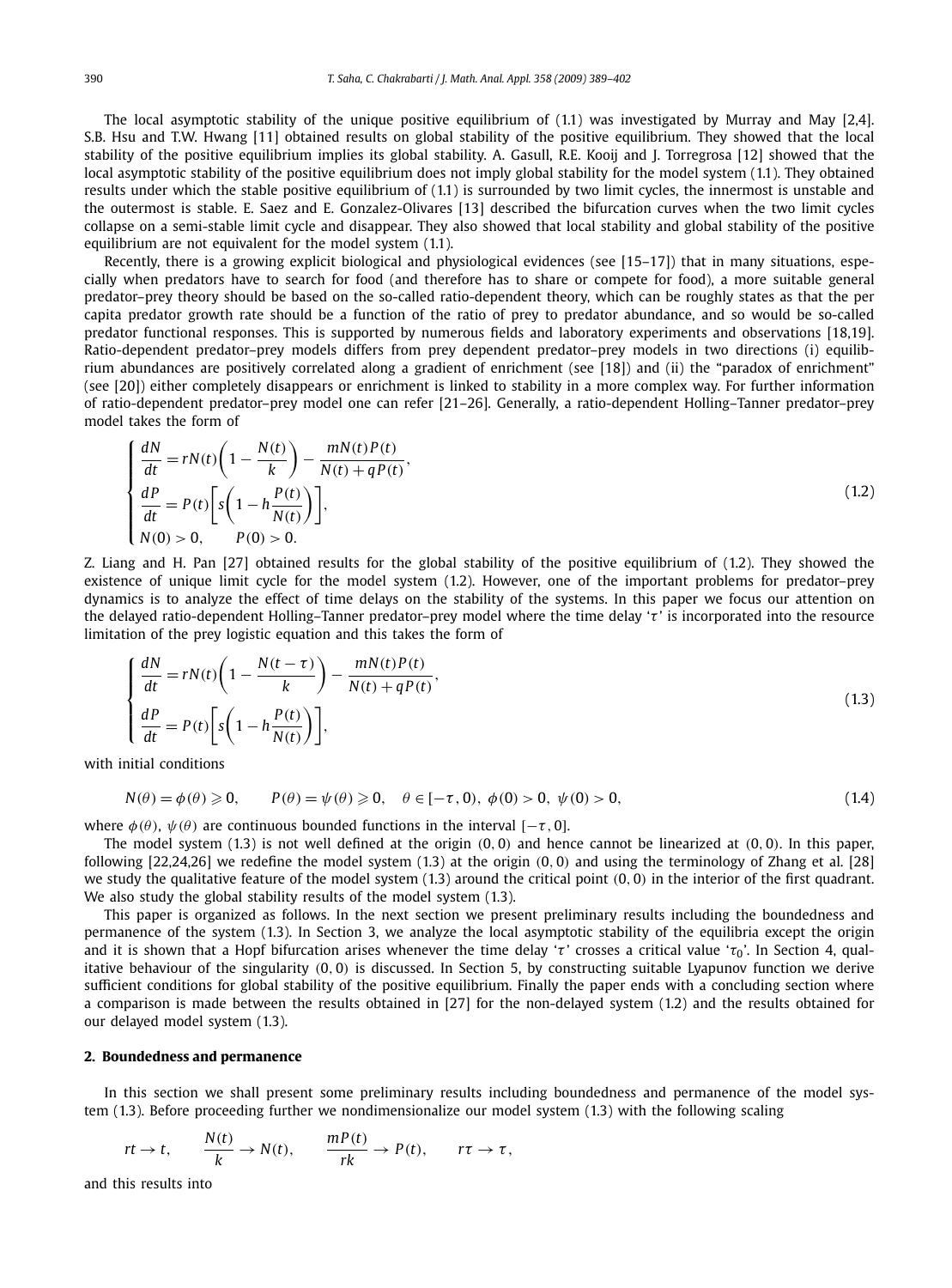The local asymptotic stability of the unique positive equilibrium of (1.1) was investigated by Murray and May [2,4]. S.B. Hsu and T.W. Hwang [11] obtained results on global stability of the positive equilibrium. They showed that the local stability of the positive equilibrium implies its global stability. A. Gasull, R.E. Kooij and J. Torregrosa [12] showed that the local asymptotic stability of the positive equilibrium does not imply global stability for the model system (1.1). They obtained results under which the stable positive equilibrium of (1.1) is surrounded by two limit cycles, the innermost is unstable and the outermost is stable. E. Saez and E. Gonzalez-Olivares [13] described the bifurcation curves when the two limit cycles collapse on a semi-stable limit cycle and disappear. They also showed that local stability and global stability of the positive equilibrium are not equivalent for the model system (1.1).

Recently, there is a growing explicit biological and physiological evidences (see [15–17]) that in many situations, especially when predators have to search for food (and therefore has to share or compete for food), a more suitable general predator–prey theory should be based on the so-called ratio-dependent theory, which can be roughly states as that the per capita predator growth rate should be a function of the ratio of prey to predator abundance, and so would be so-called predator functional responses. This is supported by numerous fields and laboratory experiments and observations [18,19]. Ratio-dependent predator–prey models differs from prey dependent predator–prey models in two directions (i) equilibrium abundances are positively correlated along a gradient of enrichment (see [18]) and (ii) the "paradox of enrichment" (see [20]) either completely disappears or enrichment is linked to stability in a more complex way. For further information of ratio-dependent predator–prey model one can refer [21–26]. Generally, a ratio-dependent Holling–Tanner predator–prey model takes the form of

$$
\begin{cases}\n\frac{dN}{dt} = rN(t)\left(1 - \frac{N(t)}{k}\right) - \frac{mN(t)P(t)}{N(t) + qP(t)},\\ \n\frac{dP}{dt} = P(t)\left[s\left(1 - h\frac{P(t)}{N(t)}\right)\right],\\ N(0) > 0, \qquad P(0) > 0.\n\end{cases}
$$
\n(1.2)

Z. Liang and H. Pan [27] obtained results for the global stability of the positive equilibrium of (1.2). They showed the existence of unique limit cycle for the model system (1.2). However, one of the important problems for predator–prey dynamics is to analyze the effect of time delays on the stability of the systems. In this paper we focus our attention on the delayed ratio-dependent Holling–Tanner predator–prey model where the time delay 'τ' is incorporated into the resource limitation of the prey logistic equation and this takes the form of

$$
\begin{cases}\n\frac{dN}{dt} = rN(t)\left(1 - \frac{N(t-\tau)}{k}\right) - \frac{mN(t)P(t)}{N(t) + qP(t)},\\ \n\frac{dP}{dt} = P(t)\bigg[s\bigg(1 - h\frac{P(t)}{N(t)}\bigg)\bigg],\n\end{cases}
$$
\n(1.3)

with initial conditions

$$
N(\theta) = \phi(\theta) \ge 0, \qquad P(\theta) = \psi(\theta) \ge 0, \quad \theta \in [-\tau, 0), \ \phi(0) > 0, \ \psi(0) > 0,\tag{1.4}
$$

where  $\phi(\theta)$ ,  $\psi(\theta)$  are continuous bounded functions in the interval [−τ, 0].

The model system  $(1.3)$  is not well defined at the origin  $(0, 0)$  and hence cannot be linearized at  $(0, 0)$ . In this paper, following  $[22,24,26]$  we redefine the model system  $(1.3)$  at the origin  $(0, 0)$  and using the terminology of Zhang et al.  $[28]$ we study the qualitative feature of the model system (1.3) around the critical point (0, 0) in the interior of the first quadrant. We also study the global stability results of the model system  $(1.3)$ .

This paper is organized as follows. In the next section we present preliminary results including the boundedness and permanence of the system (1.3). In Section 3, we analyze the local asymptotic stability of the equilibria except the origin and it is shown that a Hopf bifurcation arises whenever the time delay 'τ' crosses a critical value 'το'. In Section 4, qualitative behaviour of the singularity (0, 0) is discussed. In Section 5, by constructing suitable Lyapunov function we derive sufficient conditions for global stability of the positive equilibrium. Finally the paper ends with a concluding section where a comparison is made between the results obtained in [27] for the non-delayed system (1.2) and the results obtained for our delayed model system (1.3).

#### **2. Boundedness and permanence**

In this section we shall present some preliminary results including boundedness and permanence of the model system (1.3). Before proceeding further we nondimensionalize our model system (1.3) with the following scaling

$$
rt \to t
$$
,  $\frac{N(t)}{k} \to N(t)$ ,  $\frac{mP(t)}{rk} \to P(t)$ ,  $r\tau \to \tau$ ,

and this results into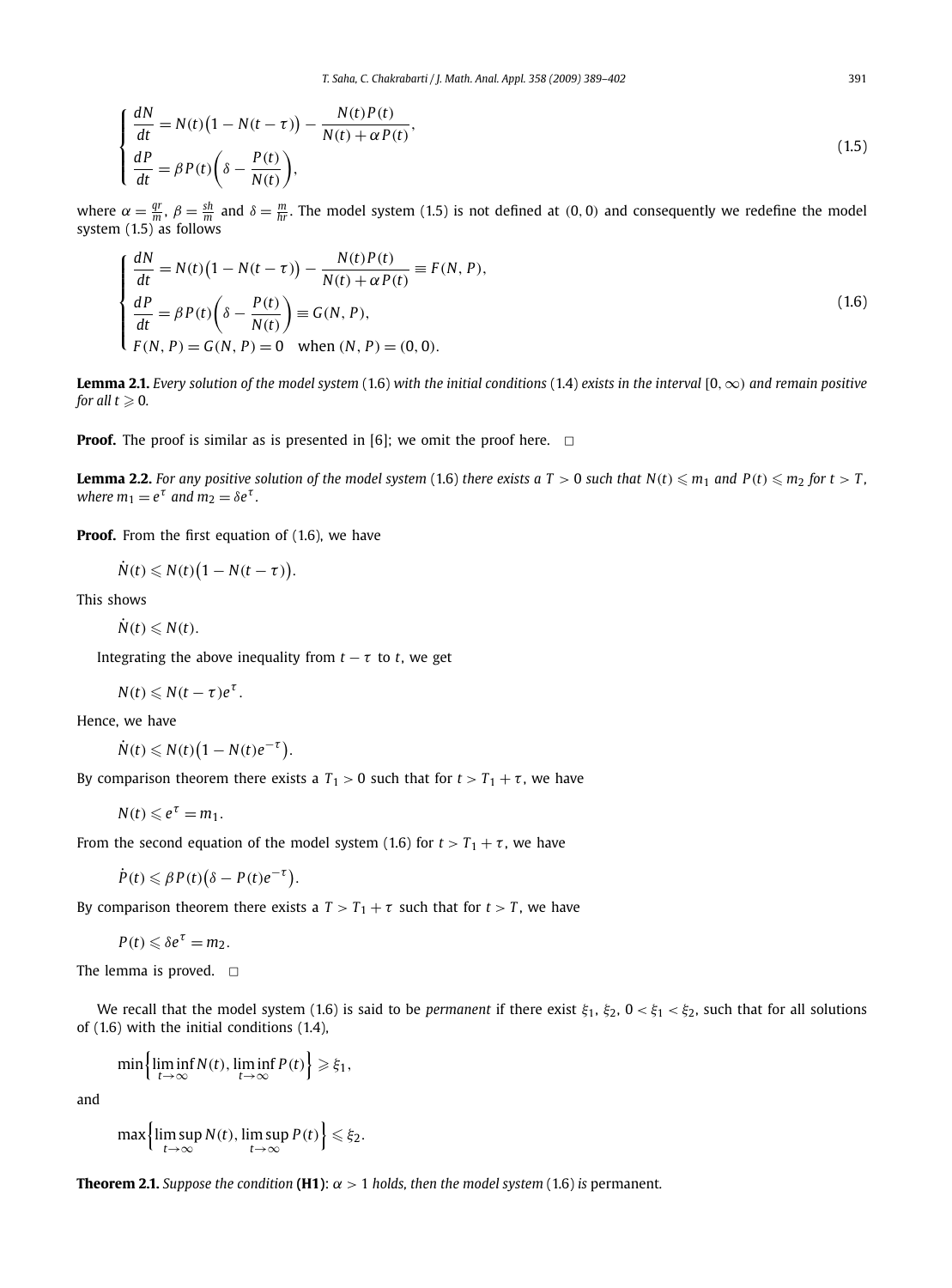$$
\begin{cases}\n\frac{dN}{dt} = N(t)\left(1 - N(t - \tau)\right) - \frac{N(t)P(t)}{N(t) + \alpha P(t)},\\ \n\frac{dP}{dt} = \beta P(t)\left(\delta - \frac{P(t)}{N(t)}\right),\n\end{cases} \tag{1.5}
$$

where  $\alpha = \frac{qr}{m}$ ,  $\beta = \frac{sh}{m}$  and  $\delta = \frac{m}{hr}$ . The model system (1.5) is not defined at (0, 0) and consequently we redefine the model system  $(1.5)$  as follows

$$
\begin{cases}\n\frac{dN}{dt} = N(t)\left(1 - N(t - \tau)\right) - \frac{N(t)P(t)}{N(t) + \alpha P(t)} \equiv F(N, P), \\
\frac{dP}{dt} = \beta P(t)\left(\delta - \frac{P(t)}{N(t)}\right) \equiv G(N, P), \\
F(N, P) = G(N, P) = 0 \quad \text{when } (N, P) = (0, 0).\n\end{cases}
$$
\n(1.6)

**Lemma 2.1.** *Every solution of the model system* (1.6) *with the initial conditions* (1.4) *exists in the interval* [0,∞) *and remain positive* for all  $t \geqslant 0$ .

**Proof.** The proof is similar as is presented in [6]; we omit the proof here.  $\Box$ 

**Lemma 2.2.** For any positive solution of the model system (1.6) there exists a T > 0 such that  $N(t) \le m_1$  and  $P(t) \le m_2$  for  $t > T$ , where  $m_1 = e^{\tau}$  and  $m_2 = \delta e^{\tau}$ .

**Proof.** From the first equation of (1.6), we have

 $\dot{N}(t) \leqslant N(t) \big(1 - N(t - \tau)\big).$ 

This shows

 $\dot{N}(t) \le N(t)$ .

Integrating the above inequality from  $t - \tau$  to  $t$ , we get

$$
N(t)\leqslant N(t-\tau)e^{\tau}.
$$

Hence, we have

$$
\dot{N}(t) \leq N(t) \big(1 - N(t)e^{-\tau}\big).
$$

By comparison theorem there exists a  $T_1 > 0$  such that for  $t > T_1 + \tau$ , we have

$$
N(t) \leqslant e^{\tau} = m_1.
$$

From the second equation of the model system (1.6) for  $t > T_1 + \tau$ , we have

$$
\dot{P}(t) \leqslant \beta P(t) \big( \delta - P(t) e^{-\tau} \big).
$$

By comparison theorem there exists a  $T > T_1 + \tau$  such that for  $t > T$ , we have

$$
P(t) \leqslant \delta e^{\tau} = m_2.
$$

The lemma is proved.  $\square$ 

We recall that the model system (1.6) is said to be *permanent* if there exist  $\xi_1$ ,  $\xi_2$ ,  $0 < \xi_1 < \xi_2$ , such that for all solutions of (1.6) with the initial conditions (1.4),

$$
\min\left\{\liminf_{t\to\infty} N(t), \liminf_{t\to\infty} P(t)\right\} \geq \xi_1,
$$

and

$$
\max\left\{\limsup_{t\to\infty} N(t), \limsup_{t\to\infty} P(t)\right\} \leq \xi_2.
$$

**Theorem 2.1.** *Suppose the condition* **(H1)**:  $\alpha > 1$  *holds, then the model system* (1.6) *is* permanent.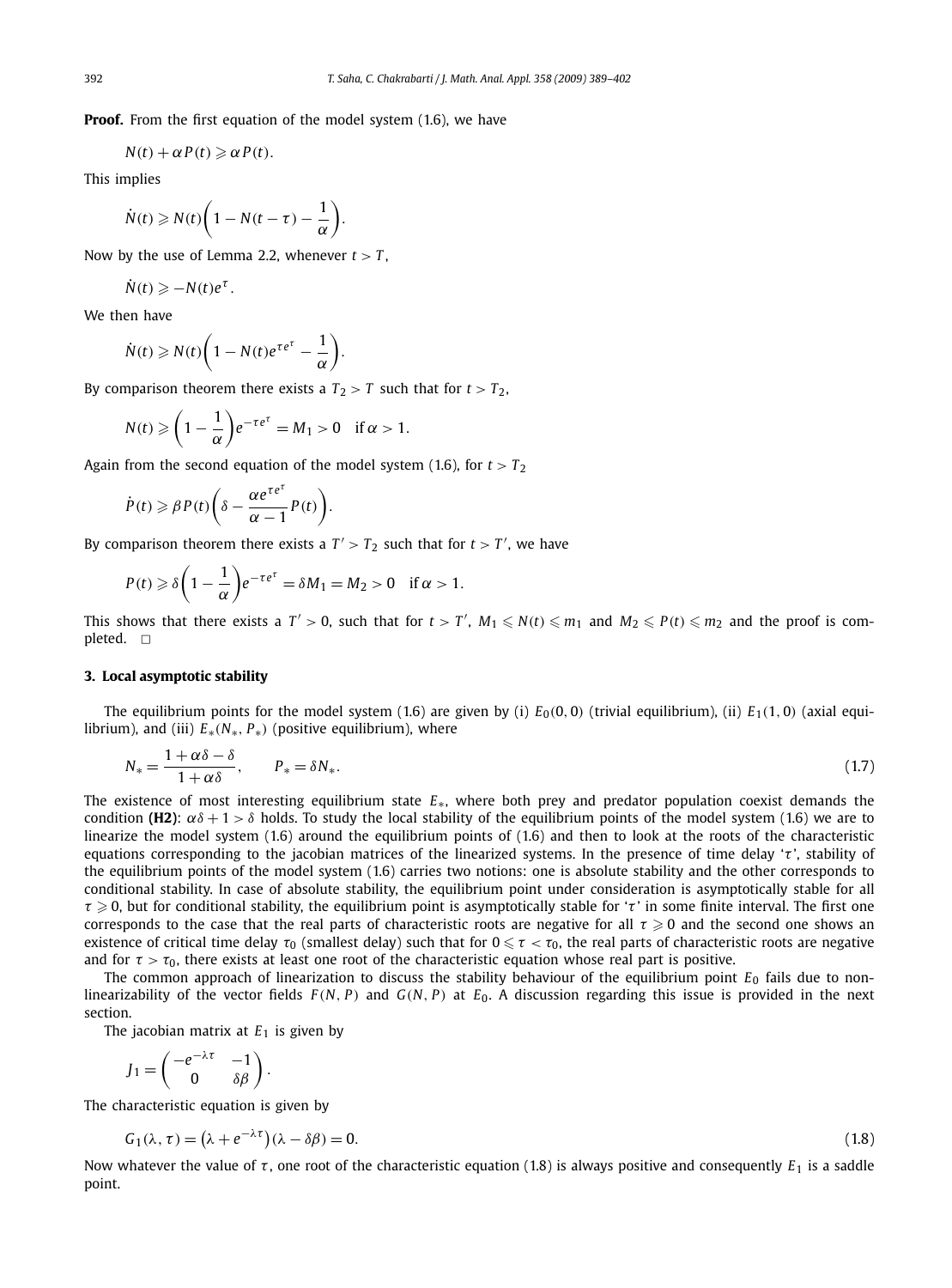**Proof.** From the first equation of the model system (1.6), we have

$$
N(t) + \alpha P(t) \geq \alpha P(t).
$$

This implies

$$
\dot{N}(t) \geqslant N(t) \bigg(1 - N(t - \tau) - \frac{1}{\alpha}\bigg).
$$

Now by the use of Lemma 2.2, whenever  $t > T$ ,

$$
\dot{N}(t) \geq -N(t)e^{\tau}.
$$

We then have

$$
\dot{N}(t) \geqslant N(t) \bigg(1 - N(t)e^{\tau e^{\tau}} - \frac{1}{\alpha}\bigg).
$$

By comparison theorem there exists a  $T_2 > T$  such that for  $t > T_2$ ,

$$
N(t) \geqslant \left(1 - \frac{1}{\alpha}\right) e^{-\tau e^{\tau}} = M_1 > 0 \quad \text{if } \alpha > 1.
$$

Again from the second equation of the model system (1.6), for  $t > T_2$ 

$$
\dot{P}(t) \geqslant \beta P(t) \bigg( \delta - \frac{\alpha e^{\tau e^{\tau}}}{\alpha - 1} P(t) \bigg).
$$

By comparison theorem there exists a  $T' > T_2$  such that for  $t > T'$ , we have

$$
P(t) \geq \delta \bigg(1 - \frac{1}{\alpha}\bigg) e^{-\tau e^{\tau}} = \delta M_1 = M_2 > 0 \quad \text{if } \alpha > 1.
$$

This shows that there exists a  $T' > 0$ , such that for  $t > T'$ ,  $M_1 \leqslant N(t) \leqslant m_1$  and  $M_2 \leqslant P(t) \leqslant m_2$  and the proof is completed.  $\Box$ 

#### **3. Local asymptotic stability**

The equilibrium points for the model system (1.6) are given by (i)  $E_0(0,0)$  (trivial equilibrium), (ii)  $E_1(1,0)$  (axial equilibrium), and (iii)  $E_*(N_*, P_*)$  (positive equilibrium), where

$$
N_* = \frac{1 + \alpha \delta - \delta}{1 + \alpha \delta}, \qquad P_* = \delta N_*.
$$
\n<sup>(1.7)</sup>

The existence of most interesting equilibrium state *E*∗, where both prey and predator population coexist demands the condition **(H2)**:  $\alpha\delta$  + 1 >  $\delta$  holds. To study the local stability of the equilibrium points of the model system (1.6) we are to linearize the model system (1.6) around the equilibrium points of (1.6) and then to look at the roots of the characteristic equations corresponding to the jacobian matrices of the linearized systems. In the presence of time delay 'τ', stability of the equilibrium points of the model system (1.6) carries two notions: one is absolute stability and the other corresponds to conditional stability. In case of absolute stability, the equilibrium point under consideration is asymptotically stable for all  $\tau \geqslant 0$ , but for conditional stability, the equilibrium point is asymptotically stable for ' $\tau$ ' in some finite interval. The first one corresponds to the case that the real parts of characteristic roots are negative for all  $\tau \geq 0$  and the second one shows an existence of critical time delay  $\tau_0$  (smallest delay) such that for  $0 \leq \tau < \tau_0$ , the real parts of characteristic roots are negative and for  $\tau > \tau_0$ , there exists at least one root of the characteristic equation whose real part is positive.

The common approach of linearization to discuss the stability behaviour of the equilibrium point *E*<sub>0</sub> fails due to nonlinearizability of the vector fields *F* (*N*, *P*) and *G*(*N*, *P*) at *E*0. A discussion regarding this issue is provided in the next section.

The jacobian matrix at  $E_1$  is given by

$$
J_1 = \begin{pmatrix} -e^{-\lambda \tau} & -1 \\ 0 & \delta \beta \end{pmatrix}.
$$

The characteristic equation is given by

$$
G_1(\lambda, \tau) = (\lambda + e^{-\lambda \tau})(\lambda - \delta \beta) = 0. \tag{1.8}
$$

Now whatever the value of  $\tau$ , one root of the characteristic equation (1.8) is always positive and consequently  $E_1$  is a saddle point.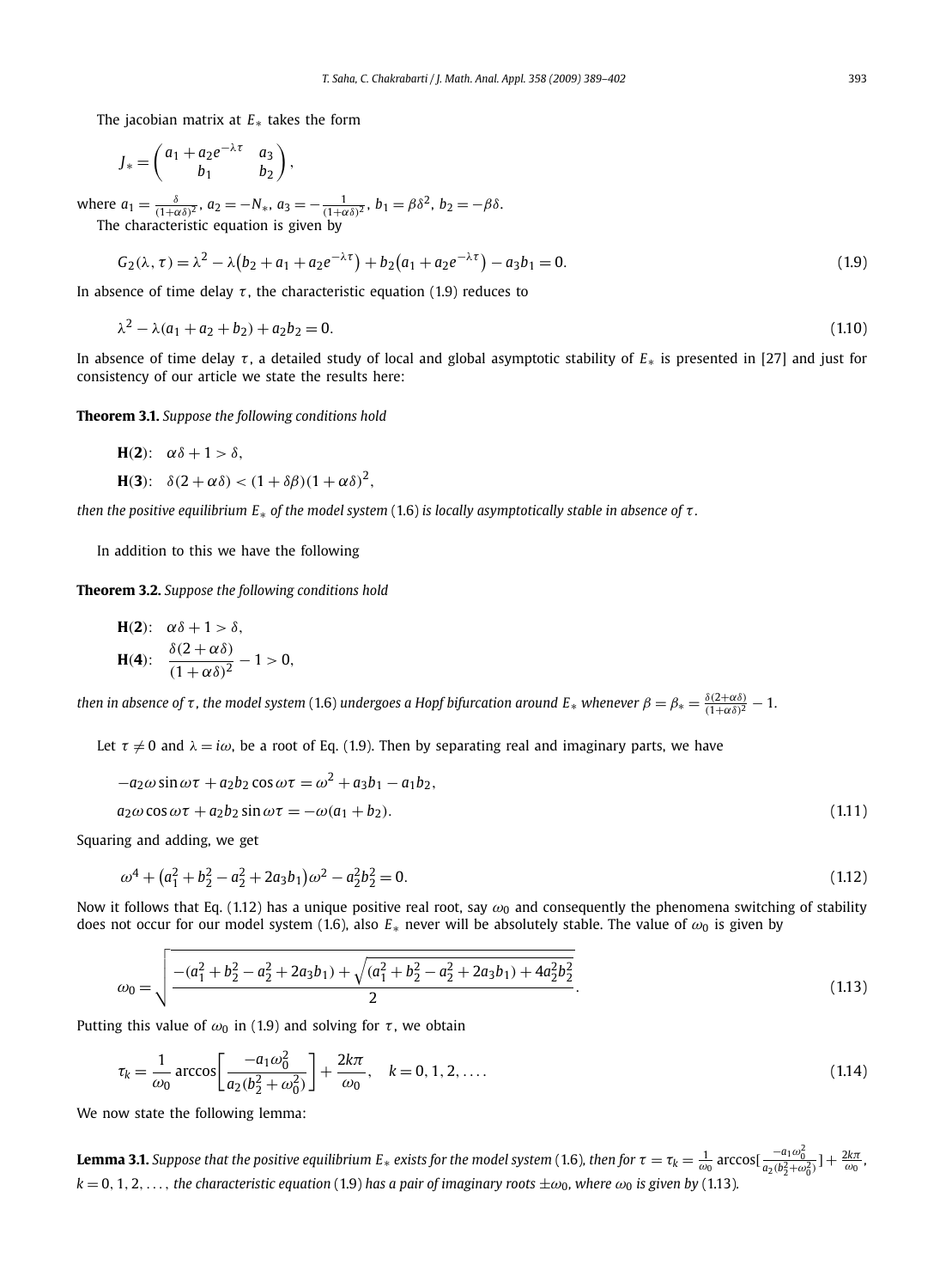The jacobian matrix at *E*∗ takes the form

$$
J_* = \begin{pmatrix} a_1 + a_2 e^{-\lambda \tau} & a_3 \\ b_1 & b_2 \end{pmatrix},
$$

where  $a_1 = \frac{\delta}{(1+\alpha\delta)^2}$ ,  $a_2 = -N_*, a_3 = -\frac{1}{(1+\alpha\delta)^2}$ ,  $b_1 = \beta\delta^2$ ,  $b_2 = -\beta\delta$ . The characteristic equation is given by

$$
G_2(\lambda, \tau) = \lambda^2 - \lambda (b_2 + a_1 + a_2 e^{-\lambda \tau}) + b_2 (a_1 + a_2 e^{-\lambda \tau}) - a_3 b_1 = 0.
$$
\n(1.9)

In absence of time delay  $\tau$ , the characteristic equation (1.9) reduces to

$$
\lambda^2 - \lambda(a_1 + a_2 + b_2) + a_2b_2 = 0. \tag{1.10}
$$

In absence of time delay τ , a detailed study of local and global asymptotic stability of *E*<sup>∗</sup> is presented in [27] and just for consistency of our article we state the results here:

**Theorem 3.1.** *Suppose the following conditions hold*

H(2): 
$$
\alpha \delta + 1 > \delta
$$
,  
H(3):  $\delta(2 + \alpha \delta) < (1 + \delta \beta)(1 + \alpha \delta)^2$ ,

*then the positive equilibrium E*<sup>∗</sup> *of the model system* (1.6) *is locally asymptotically stable in absence of* τ *.*

In addition to this we have the following

**Theorem 3.2.** *Suppose the following conditions hold*

H(2): 
$$
\alpha \delta + 1 > \delta
$$
,  
H(4):  $\frac{\delta(2 + \alpha \delta)}{(1 + \alpha \delta)^2} - 1 > 0$ ,

*then in absence of*  $\tau$ *, the model system* (1.6) *undergoes a Hopf bifurcation around E*∗ *whenever*  $\beta = \beta_* = \frac{\delta(2+\alpha\delta)}{(1+\alpha\delta)^2} - 1$ .

Let  $\tau \neq 0$  and  $\lambda = i\omega$ , be a root of Eq. (1.9). Then by separating real and imaginary parts, we have

$$
-a_2\omega\sin\omega\tau + a_2b_2\cos\omega\tau = \omega^2 + a_3b_1 - a_1b_2,
$$
  
\n
$$
a_2\omega\cos\omega\tau + a_2b_2\sin\omega\tau = -\omega(a_1 + b_2).
$$
\n(1.11)

Squaring and adding, we get

$$
\omega^4 + (a_1^2 + b_2^2 - a_2^2 + 2a_3b_1)\omega^2 - a_2^2b_2^2 = 0.
$$
\n(1.12)

Now it follows that Eq. (1.12) has a unique positive real root, say  $\omega_0$  and consequently the phenomena switching of stability does not occur for our model system (1.6), also  $E_*$  never will be absolutely stable. The value of  $\omega_0$  is given by

$$
\omega_0 = \sqrt{\frac{-(a_1^2 + b_2^2 - a_2^2 + 2a_3b_1) + \sqrt{(a_1^2 + b_2^2 - a_2^2 + 2a_3b_1) + 4a_2^2b_2^2}}{2}}.
$$
\n(1.13)

Putting this value of  $\omega_0$  in (1.9) and solving for  $\tau$ , we obtain

$$
\tau_k = \frac{1}{\omega_0} \arccos\left[\frac{-a_1\omega_0^2}{a_2(b_2^2 + \omega_0^2)}\right] + \frac{2k\pi}{\omega_0}, \quad k = 0, 1, 2, ....
$$
\n(1.14)

We now state the following lemma:

**Lemma 3.1.** Suppose that the positive equilibrium  $E_*$  exists for the model system (1.6), then for  $\tau=\tau_k=\frac{1}{\omega_0}$  arccos[ $\frac{-a_1\omega_0^2}{a_2(b_2^2+\omega_0^2)}$ ]  $+\frac{2k\pi}{\omega_0}$ ,  $k = 0, 1, 2, \ldots$ , *the characteristic equation* (1.9) *has a pair of imaginary roots*  $\pm \omega_0$ *, where*  $\omega_0$  *is given by* (1.13)*.*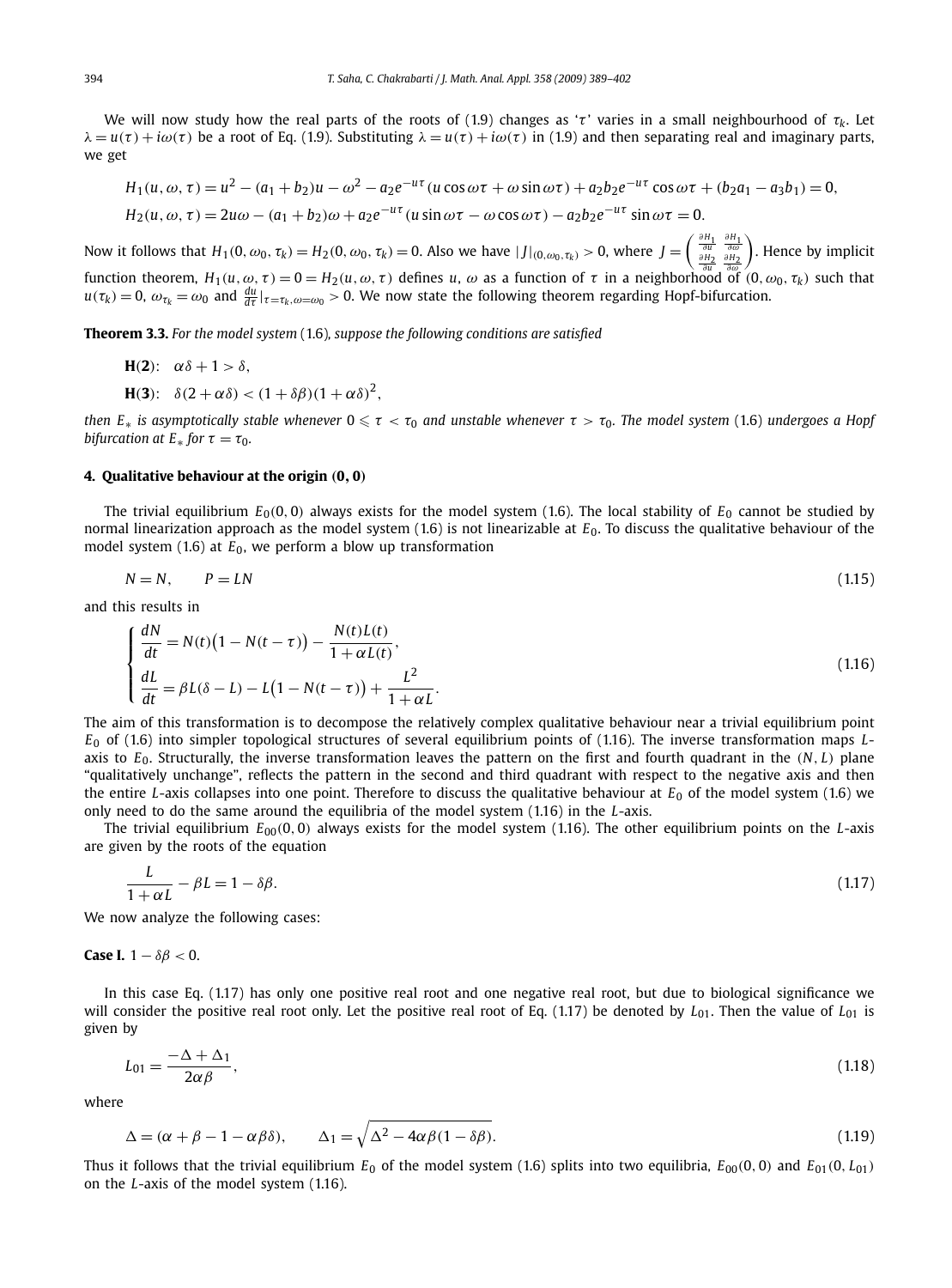We will now study how the real parts of the roots of (1.9) changes as ' $\tau$ ' varies in a small neighbourhood of  $\tau_k$ . Let  $\lambda = u(\tau) + i\omega(\tau)$  be a root of Eq. (1.9). Substituting  $\lambda = u(\tau) + i\omega(\tau)$  in (1.9) and then separating real and imaginary parts, we get

$$
H_1(u, \omega, \tau) = u^2 - (a_1 + b_2)u - \omega^2 - a_2e^{-u\tau}(u\cos\omega\tau + \omega\sin\omega\tau) + a_2b_2e^{-u\tau}\cos\omega\tau + (b_2a_1 - a_3b_1) = 0,
$$
  
\n
$$
H_2(u, \omega, \tau) = 2u\omega - (a_1 + b_2)\omega + a_2e^{-u\tau}(u\sin\omega\tau - \omega\cos\omega\tau) - a_2b_2e^{-u\tau}\sin\omega\tau = 0.
$$

Now it follows that  $H_1(0, \omega_0, \tau_k) = H_2(0, \omega_0, \tau_k) = 0$ . Also we have  $|J|_{(0, \omega_0, \tau_k)} > 0$ , where  $J = \begin{pmatrix} \frac{\partial H_1}{\partial u} & \frac{\partial H_1}{\partial u} \\ \frac{\partial H_2}{\partial u} & \frac{\partial H_2}{\partial u} \end{pmatrix}$  $f$ unction theorem,  $H_1(u, \omega, \tau) = 0 = H_2(u, \omega, \tau)$  defines *u*,  $\omega$  as a function of  $\tau$  in a neighborhood of  $(0, \omega_0, \tau_k)$  such that . Hence by implicit  $u(\tau_k)=0$ ,  $\omega_{\tau_k}=\omega_0$  and  $\frac{du}{d\tau}|_{\tau=\tau_k,\omega=\omega_0}>0$ . We now state the following theorem regarding Hopf-bifurcation.

**Theorem 3.3.** *For the model system* (1.6)*, suppose the following conditions are satisfied*

$$
H(2): \alpha\delta + 1 > \delta,
$$

**H**(3):  $\delta(2+\alpha\delta) < (1+\delta\beta)(1+\alpha\delta)^2$ ,

*then*  $E_*$  *is asymptotically stable whenever*  $0 \le \tau < \tau_0$  *and unstable whenever*  $\tau > \tau_0$ *. The model system* (1.6) *undergoes a Hopf bifurcation at*  $E_*$  *for*  $\tau = \tau_0$ *.* 

#### **4. Qualitative behaviour at the origin** (**0**, **0**)

The trivial equilibrium  $E_0(0, 0)$  always exists for the model system (1.6). The local stability of  $E_0$  cannot be studied by normal linearization approach as the model system (1.6) is not linearizable at *E*0. To discuss the qualitative behaviour of the model system  $(1.6)$  at  $E_0$ , we perform a blow up transformation

$$
N = N, \qquad P = LN \tag{1.15}
$$

and this results in

$$
\begin{cases}\n\frac{dN}{dt} = N(t)\left(1 - N(t - \tau)\right) - \frac{N(t)L(t)}{1 + \alpha L(t)},\\ \n\frac{dL}{dt} = \beta L(\delta - L) - L\left(1 - N(t - \tau)\right) + \frac{L^2}{1 + \alpha L}.\n\end{cases}
$$
\n(1.16)

The aim of this transformation is to decompose the relatively complex qualitative behaviour near a trivial equilibrium point *E*<sup>0</sup> of (1.6) into simpler topological structures of several equilibrium points of (1.16). The inverse transformation maps *L*axis to *E*0. Structurally, the inverse transformation leaves the pattern on the first and fourth quadrant in the (*N*, *L*) plane "qualitatively unchange", reflects the pattern in the second and third quadrant with respect to the negative axis and then the entire *L*-axis collapses into one point. Therefore to discuss the qualitative behaviour at  $E_0$  of the model system (1.6) we only need to do the same around the equilibria of the model system (1.16) in the *L*-axis.

The trivial equilibrium *E*00(0, 0) always exists for the model system (1.16). The other equilibrium points on the *L*-axis are given by the roots of the equation

$$
\frac{L}{1+\alpha L} - \beta L = 1 - \delta \beta. \tag{1.17}
$$

We now analyze the following cases:

#### **Case I.**  $1 - \delta\beta < 0$ .

In this case Eq. (1.17) has only one positive real root and one negative real root, but due to biological significance we will consider the positive real root only. Let the positive real root of Eq. (1.17) be denoted by *L*01. Then the value of *L*<sup>01</sup> is given by

$$
L_{01} = \frac{-\Delta + \Delta_1}{2\alpha\beta},\tag{1.18}
$$

where

$$
\Delta = (\alpha + \beta - 1 - \alpha \beta \delta), \qquad \Delta_1 = \sqrt{\Delta^2 - 4\alpha \beta (1 - \delta \beta)}.
$$
\n(1.19)

Thus it follows that the trivial equilibrium  $E_0$  of the model system (1.6) splits into two equilibria,  $E_{00}(0,0)$  and  $E_{01}(0,L_{01})$ on the *L*-axis of the model system (1.16).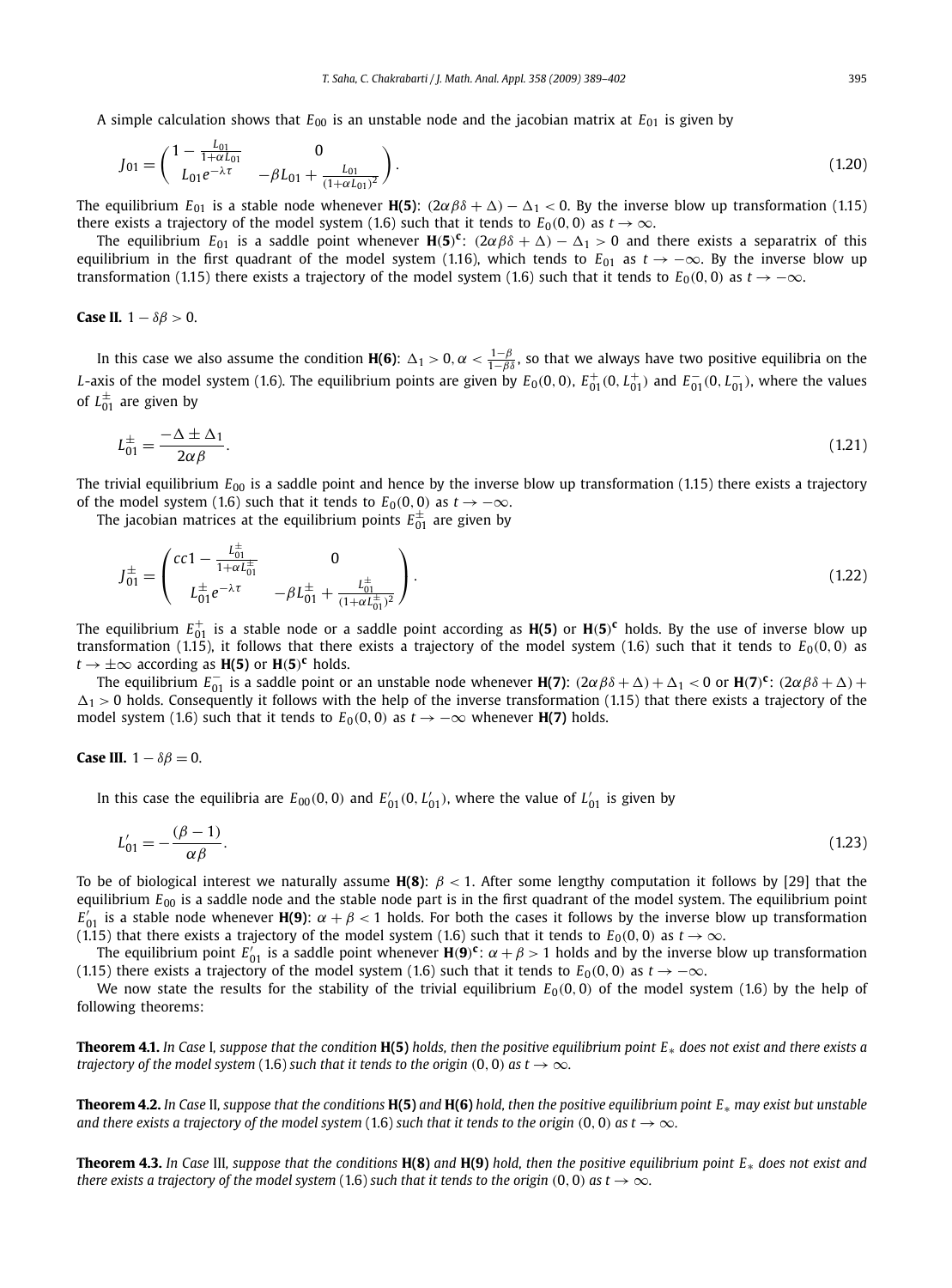A simple calculation shows that  $E_{00}$  is an unstable node and the jacobian matrix at  $E_{01}$  is given by

$$
J_{01} = \begin{pmatrix} 1 - \frac{L_{01}}{1 + \alpha L_{01}} & 0 \\ L_{01}e^{-\lambda \tau} & -\beta L_{01} + \frac{L_{01}}{(1 + \alpha L_{01})^2} \end{pmatrix}.
$$
 (1.20)

The equilibrium  $E_{01}$  is a stable node whenever **H(5)**:  $(2\alpha\beta\delta + \Delta) - \Delta_1 < 0$ . By the inverse blow up transformation (1.15) there exists a trajectory of the model system (1.6) such that it tends to  $E_0(0, 0)$  as  $t \to \infty$ .

The equilibrium  $E_{01}$  is a saddle point whenever  $H(5)^{\bf c}$ :  $(2\alpha\beta\delta+\Delta)-\Delta_1>0$  and there exists a separatrix of this equilibrium in the first quadrant of the model system (1.16), which tends to  $E_{01}$  as  $t \rightarrow -\infty$ . By the inverse blow up transformation (1.15) there exists a trajectory of the model system (1.6) such that it tends to  $E_0(0,0)$  as  $t \to -\infty$ .

#### **Case II.**  $1 - \delta\beta > 0$ .

In this case we also assume the condition **H(6)**:  $\Delta_1 > 0$ ,  $\alpha < \frac{1-\beta}{1-\beta\delta}$ , so that we always have two positive equilibria on the *L*-axis of the model system (1.6). The equilibrium points are given by  $E_0(0,0)$ ,  $E_{01}^+(0,L_{01}^-)$  and  $E_{01}^-(0,L_{01}^-)$ , where the values of  $L_{01}^{\pm}$  are given by

$$
L_{01}^{\pm} = \frac{-\Delta \pm \Delta_1}{2\alpha \beta}.
$$
\n(1.21)

The trivial equilibrium  $E_{00}$  is a saddle point and hence by the inverse blow up transformation (1.15) there exists a trajectory of the model system (1.6) such that it tends to  $E_0(0, 0)$  as  $t \to -\infty$ .

The jacobian matrices at the equilibrium points  $E^\pm_{01}$  are given by

$$
J_{01}^{\pm} = \begin{pmatrix} cc1 - \frac{L_{01}^{\pm}}{1 + \alpha L_{01}^{\pm}} & 0\\ L_{01}^{\pm}e^{-\lambda \tau} & -\beta L_{01}^{\pm} + \frac{L_{01}^{\pm}}{(1 + \alpha L_{01}^{\pm})^2} \end{pmatrix}.
$$
 (1.22)

The equilibrium  $E_{01}^+$  is a stable node or a saddle point according as  $H(5)$  or  $H(5)^c$  holds. By the use of inverse blow up transformation (1.15), it follows that there exists a trajectory of the model system (1.6) such that it tends to  $E_0(0, 0)$  as  $t \to \pm \infty$  according as **H(5)** or **H(5)<sup>c</sup>** holds.

The equilibrium  $E_{01}^-$  is a saddle point or an unstable node whenever **H(7)**:  $(2\alpha\beta\delta+\Delta)+\Delta_1 < 0$  or **H**(7)<sup>c</sup>:  $(2\alpha\beta\delta+\Delta)+$  $\Delta_1 > 0$  holds. Consequently it follows with the help of the inverse transformation (1.15) that there exists a trajectory of the model system (1.6) such that it tends to  $E_0(0,0)$  as  $t \to -\infty$  whenever **H(7)** holds.

Case III. 
$$
1 - \delta \beta = 0
$$
.

In this case the equilibria are  $E_{00}(0,0)$  and  $E'_{01}(0, L'_{01})$ , where the value of  $L'_{01}$  is given by

$$
L'_{01} = -\frac{(\beta - 1)}{\alpha \beta}.
$$
\n(1.23)

To be of biological interest we naturally assume  $H(8)$ :  $\beta$  < 1. After some lengthy computation it follows by [29] that the equilibrium *E*<sup>00</sup> is a saddle node and the stable node part is in the first quadrant of the model system. The equilibrium point  $E'_{01}$  is a stable node whenever **H(9)**:  $\alpha + \beta < 1$  holds. For both the cases it follows by the inverse blow up transformation (1.15) that there exists a trajectory of the model system (1.6) such that it tends to  $E_0(0,0)$  as  $t \to \infty$ .

The equilibrium point  $E'_{01}$  is a saddle point whenever  $H(9)^c$ :  $\alpha + \beta > 1$  holds and by the inverse blow up transformation (1.15) there exists a trajectory of the model system (1.6) such that it tends to  $E_0(0,0)$  as  $t \rightarrow -\infty$ .

We now state the results for the stability of the trivial equilibrium  $E_0(0, 0)$  of the model system (1.6) by the help of following theorems:

**Theorem 4.1.** *In Case* I*, suppose that the condition* **H(5)** *holds, then the positive equilibrium point E*∗ *does not exist and there exists a trajectory of the model system* (1.6) *such that it tends to the origin* (0, 0) *as t*  $\rightarrow \infty$ *.* 

**Theorem 4.2.** *In Case* II*, suppose that the conditions* **H(5)** *and* **H(6)** *hold, then the positive equilibrium point E*∗ *may exist but unstable and there exists a trajectory of the model system* (1.6) *such that it tends to the origin* (0, 0) *as t*  $\rightarrow \infty$ *.* 

**Theorem 4.3.** *In Case* III*, suppose that the conditions* **H(8)** *and* **H(9)** *hold, then the positive equilibrium point E*∗ *does not exist and there exists a trajectory of the model system* (1.6) *such that it tends to the origin* (0, 0) *as t*  $\rightarrow \infty$ *.*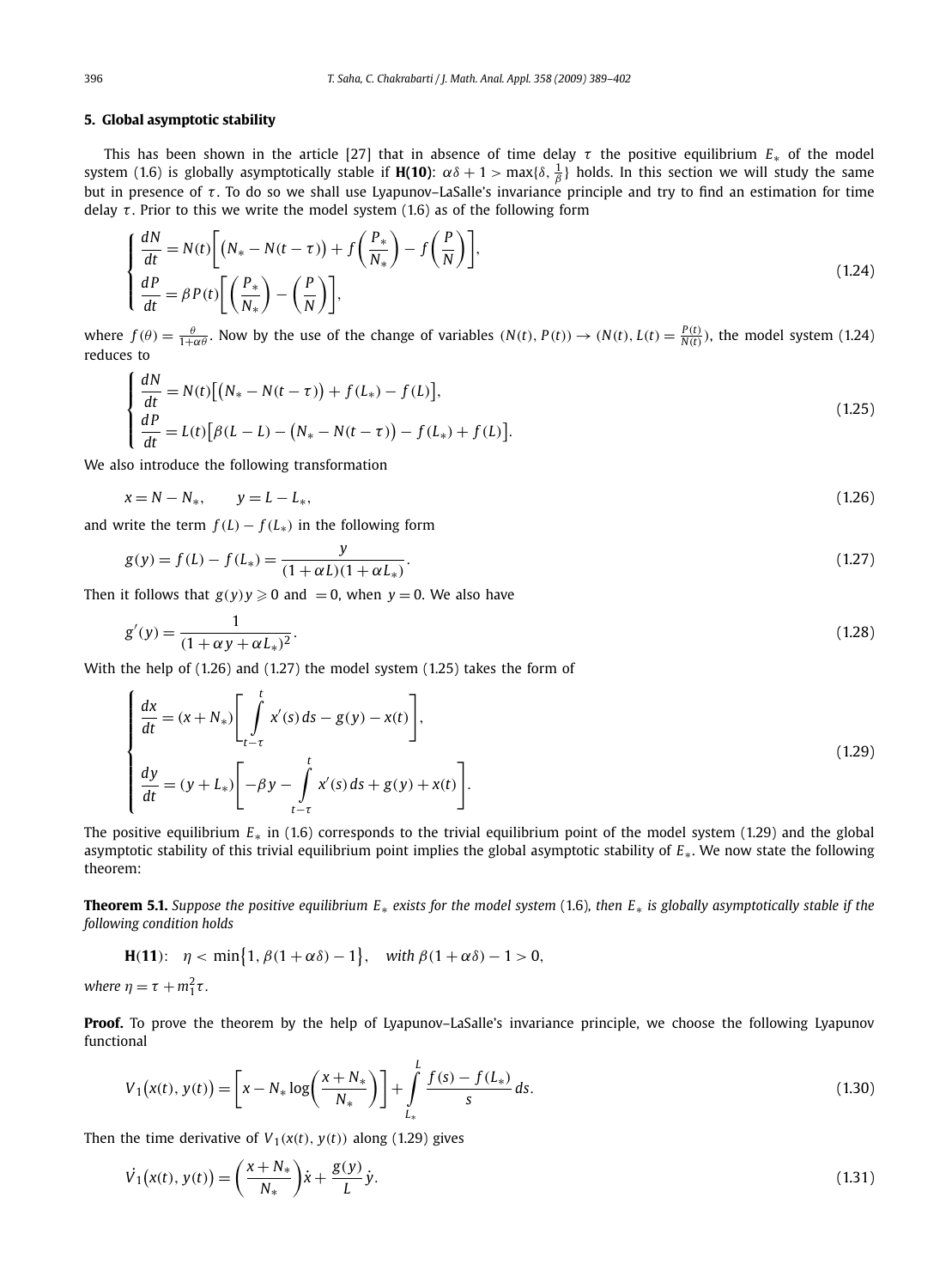### **5. Global asymptotic stability**

This has been shown in the article [27] that in absence of time delay  $\tau$  the positive equilibrium  $E_*$  of the model system (1.6) is globally asymptotically stable if **H(10)**:  $\alpha\delta+1>\max\{\delta,\frac{1}{\beta}\}$  holds. In this section we will study the same but in presence of  $\tau$ . To do so we shall use Lyapunov–LaSalle's invariance principle and try to find an estimation for time delay  $\tau$ . Prior to this we write the model system (1.6) as of the following form

$$
\begin{cases}\n\frac{dN}{dt} = N(t) \left[ \left( N_* - N(t - \tau) \right) + f \left( \frac{P_*}{N_*} \right) - f \left( \frac{P}{N} \right) \right], \\
\frac{dP}{dt} = \beta P(t) \left[ \left( \frac{P_*}{N_*} \right) - \left( \frac{P}{N} \right) \right],\n\end{cases}
$$
\n(1.24)

where  $f(\theta) = \frac{\theta}{1+\alpha\theta}$ . Now by the use of the change of variables  $(N(t), P(t)) \rightarrow (N(t), L(t) = \frac{P(t)}{N(t)})$ , the model system (1.24) reduces to

$$
\begin{cases}\n\frac{dN}{dt} = N(t) [(N_* - N(t - \tau)) + f(L_*) - f(L)],\\
\frac{dP}{dt} = L(t) [\beta(L - L) - (N_* - N(t - \tau)) - f(L_*) + f(L)].\n\end{cases}
$$
\n(1.25)

We also introduce the following transformation

$$
x = N - N_*, \qquad y = L - L_*, \tag{1.26}
$$

and write the term  $f(L) - f(L_*)$  in the following form

$$
g(y) = f(L) - f(L_*) = \frac{y}{(1 + \alpha L)(1 + \alpha L_*)}.
$$
\n(1.27)

Then it follows that  $g(y)y \geqslant 0$  and  $= 0$ , when  $y = 0$ . We also have

$$
g'(y) = \frac{1}{(1 + \alpha y + \alpha L_*)^2}.
$$
\n(1.28)

With the help of (1.26) and (1.27) the model system (1.25) takes the form of

$$
\begin{cases}\n\frac{dx}{dt} = (x + N_*) \left[ \int_{t-\tau}^t x'(s) ds - g(y) - x(t) \right], \\
\frac{dy}{dt} = (y + L_*) \left[ -\beta y - \int_{t-\tau}^t x'(s) ds + g(y) + x(t) \right].\n\end{cases}
$$
\n(1.29)

The positive equilibrium *E*∗ in (1.6) corresponds to the trivial equilibrium point of the model system (1.29) and the global asymptotic stability of this trivial equilibrium point implies the global asymptotic stability of *E*∗. We now state the following theorem:

**Theorem 5.1.** *Suppose the positive equilibrium E*∗ *exists for the model system* (1.6)*, then E*∗ *is globally asymptotically stable if the following condition holds*

**H(11):** 
$$
\eta < \min\{1, \beta(1 + \alpha \delta) - 1\}
$$
, with  $\beta(1 + \alpha \delta) - 1 > 0$ ,

where  $\eta = \tau + m_1^2 \tau$ .

**Proof.** To prove the theorem by the help of Lyapunov–LaSalle's invariance principle, we choose the following Lyapunov functional

$$
V_1(x(t), y(t)) = \left[x - N_* \log\left(\frac{x + N_*}{N_*}\right)\right] + \int_{L_*}^{L} \frac{f(s) - f(L_*)}{s} ds.
$$
 (1.30)

Then the time derivative of  $V_1(x(t), y(t))$  along (1.29) gives

$$
\dot{V}_1(x(t), y(t)) = \left(\frac{x + N_*}{N_*}\right)\dot{x} + \frac{g(y)}{L}\dot{y}.
$$
\n(1.31)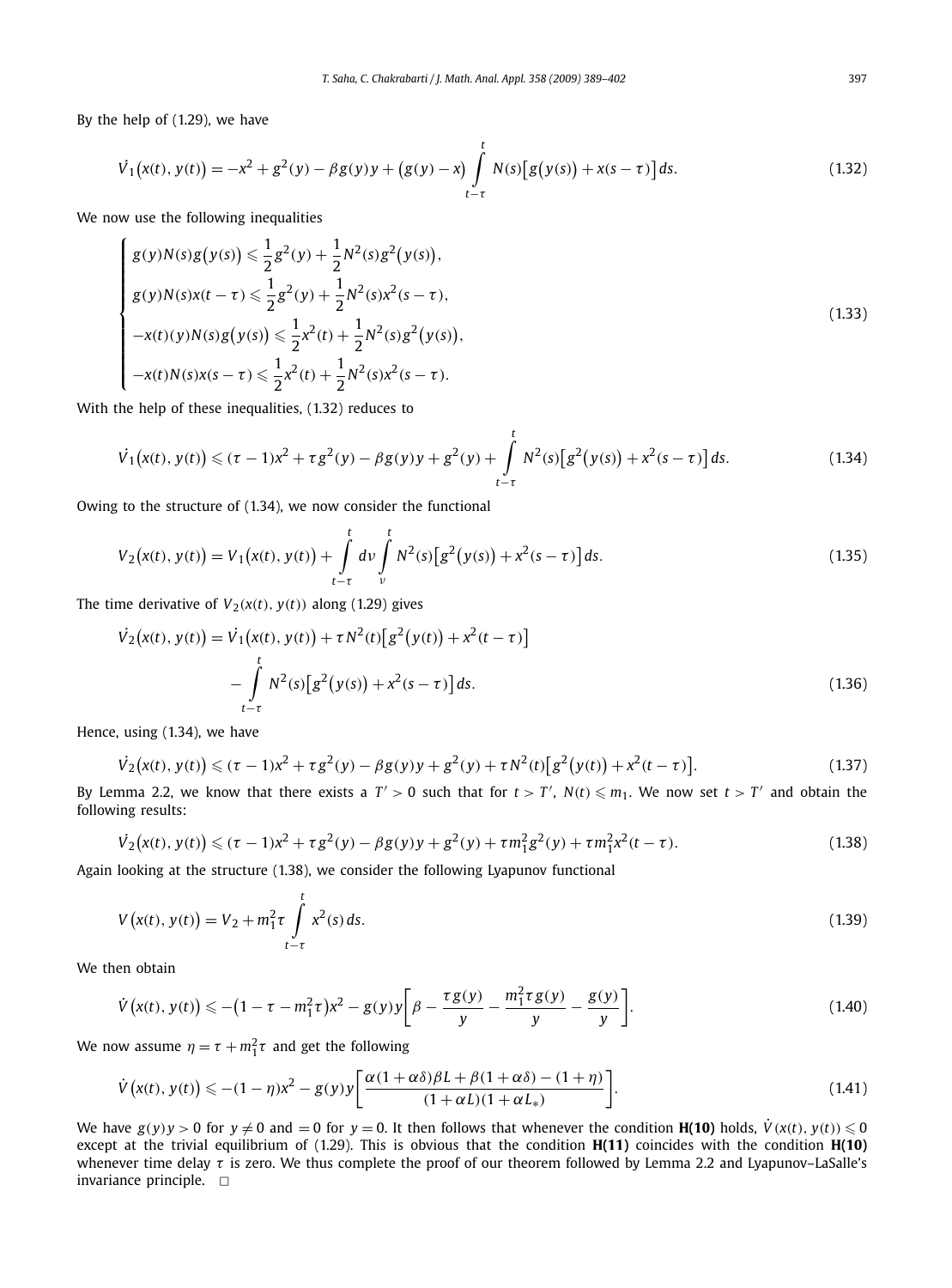By the help of (1.29), we have

$$
\dot{V}_1(x(t), y(t)) = -x^2 + g^2(y) - \beta g(y)y + (g(y) - x) \int_{t-\tau}^t N(s) [g(y(s)) + x(s - \tau)] ds.
$$
\n(1.32)

We now use the following inequalities

$$
\begin{cases}\ng(y)N(s)g(y(s)) \leq \frac{1}{2}g^2(y) + \frac{1}{2}N^2(s)g^2(y(s)), \\
g(y)N(s)x(t-\tau) \leq \frac{1}{2}g^2(y) + \frac{1}{2}N^2(s)x^2(s-\tau), \\
-x(t)(y)N(s)g(y(s)) \leq \frac{1}{2}x^2(t) + \frac{1}{2}N^2(s)g^2(y(s)), \\
-x(t)N(s)x(s-\tau) \leq \frac{1}{2}x^2(t) + \frac{1}{2}N^2(s)x^2(s-\tau).\n\end{cases}
$$
\n(1.33)

With the help of these inequalities, (1.32) reduces to

$$
\dot{V}_1(x(t), y(t)) \le (\tau - 1)x^2 + \tau g^2(y) - \beta g(y)y + g^2(y) + \int_{t-\tau}^t N^2(s) \left[g^2(y(s)) + x^2(s - \tau)\right] ds.
$$
\n(1.34)

Owing to the structure of (1.34), we now consider the functional

$$
V_2(x(t), y(t)) = V_1(x(t), y(t)) + \int_{t-\tau}^t dv \int_{v}^t N^2(s) \left[ g^2(y(s)) + x^2(s-\tau) \right] ds.
$$
 (1.35)

The time derivative of  $V_2(x(t), y(t))$  along (1.29) gives

$$
\dot{V}_2(x(t), y(t)) = \dot{V}_1(x(t), y(t)) + \tau N^2(t) \left[ g^2(y(t)) + x^2(t - \tau) \right]
$$

$$
- \int_{t-\tau}^t N^2(s) \left[ g^2(y(s)) + x^2(s - \tau) \right] ds.
$$
(1.36)

Hence, using (1.34), we have

$$
\dot{V}_2(x(t), y(t)) \le (\tau - 1)x^2 + \tau g^2(y) - \beta g(y)y + g^2(y) + \tau N^2(t)[g^2(y(t)) + x^2(t - \tau)].
$$
\n(1.37)

By Lemma 2.2, we know that there exists a  $T' > 0$  such that for  $t > T'$ ,  $N(t) \leqslant m_1$ . We now set  $t > T'$  and obtain the following results:

$$
\dot{V}_2(x(t), y(t)) \le (\tau - 1)x^2 + \tau g^2(y) - \beta g(y)y + g^2(y) + \tau m_1^2 g^2(y) + \tau m_1^2 x^2(t - \tau). \tag{1.38}
$$

Again looking at the structure (1.38), we consider the following Lyapunov functional

$$
V(x(t), y(t)) = V_2 + m_1^2 \tau \int_{t-\tau}^t x^2(s) ds.
$$
\n(1.39)

We then obtain

$$
\dot{V}(x(t), y(t)) \leq -\left(1 - \tau - m_1^2 \tau\right) x^2 - g(y) y \left[ \beta - \frac{\tau g(y)}{y} - \frac{m_1^2 \tau g(y)}{y} - \frac{g(y)}{y} \right].
$$
\n(1.40)

We now assume  $\eta = \tau + m_1^2 \tau$  and get the following

$$
\dot{V}\big(x(t),\,y(t)\big) \leqslant -(1-\eta)x^2 - g(y)y\bigg[\frac{\alpha(1+\alpha\delta)\beta L + \beta(1+\alpha\delta) - (1+\eta)}{(1+\alpha L)(1+\alpha L_*)}\bigg].\tag{1.41}
$$

We have  $g(y)y > 0$  for  $y \neq 0$  and  $= 0$  for  $y = 0$ . It then follows that whenever the condition **H(10)** holds,  $\dot{V}(x(t), y(t)) \leq 0$ except at the trivial equilibrium of (1.29). This is obvious that the condition **H(11)** coincides with the condition **H(10)** whenever time delay  $\tau$  is zero. We thus complete the proof of our theorem followed by Lemma 2.2 and Lyapunov–LaSalle's invariance principle.  $\Box$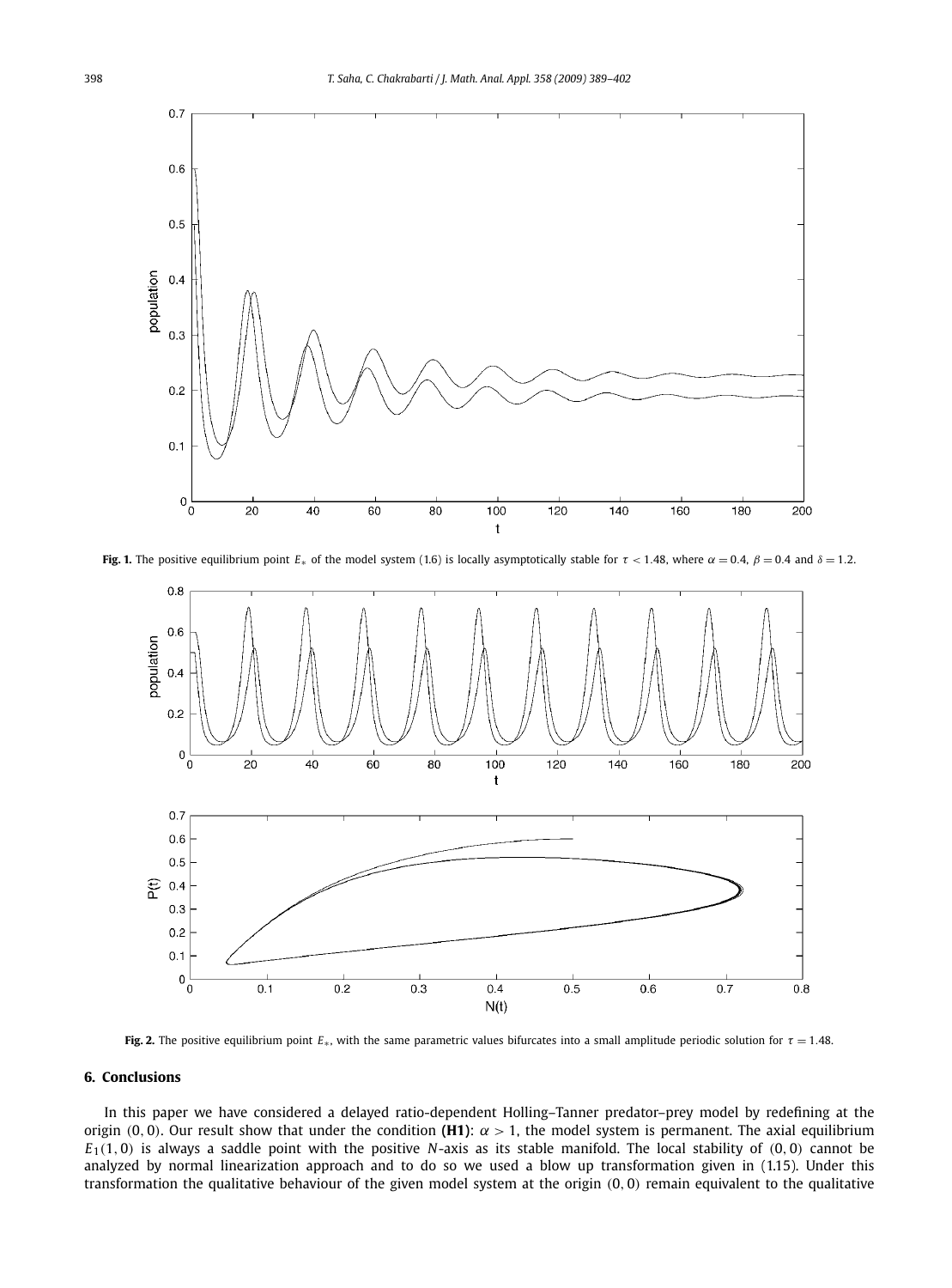

**Fig. 1.** The positive equilibrium point  $E_*$  of the model system (1.6) is locally asymptotically stable for  $\tau$  < 1.48, where  $\alpha$  = 0.4,  $\beta$  = 0.4 and  $\delta$  = 1.2.



**Fig. 2.** The positive equilibrium point  $E_∗$ , with the same parametric values bifurcates into a small amplitude periodic solution for  $τ = 1.48$ .

#### **6. Conclusions**

In this paper we have considered a delayed ratio-dependent Holling–Tanner predator–prey model by redefining at the origin (0, 0). Our result show that under the condition **(H1)**:  $\alpha > 1$ , the model system is permanent. The axial equilibrium  $E_1(1,0)$  is always a saddle point with the positive *N*-axis as its stable manifold. The local stability of  $(0,0)$  cannot be analyzed by normal linearization approach and to do so we used a blow up transformation given in (1.15). Under this transformation the qualitative behaviour of the given model system at the origin (0, 0) remain equivalent to the qualitative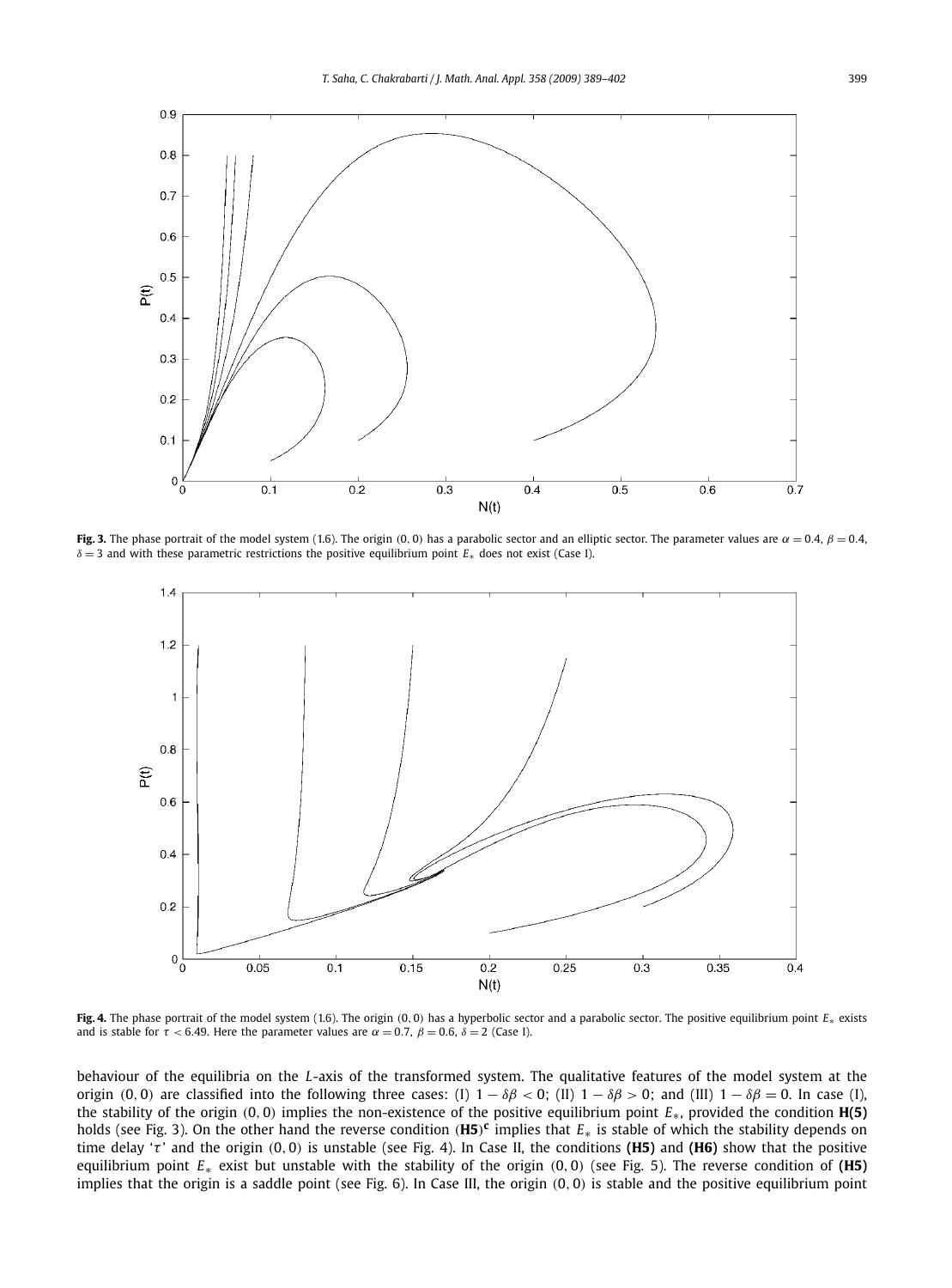

**Fig. 3.** The phase portrait of the model system (1.6). The origin (0, 0) has a parabolic sector and an elliptic sector. The parameter values are  $\alpha = 0.4$ ,  $\beta = 0.4$ , δ = 3 and with these parametric restrictions the positive equilibrium point *E*<sup>∗</sup> does not exist (Case I).



**Fig. 4.** The phase portrait of the model system (1.6). The origin (0, 0) has a hyperbolic sector and a parabolic sector. The positive equilibrium point *E*<sup>∗</sup> exists and is stable for  $\tau$  < 6.49. Here the parameter values are  $\alpha$  = 0.7,  $\beta$  = 0.6,  $\delta$  = 2 (Case I).

behaviour of the equilibria on the *L*-axis of the transformed system. The qualitative features of the model system at the origin (0, 0) are classified into the following three cases: (I)  $1 - \delta\beta < 0$ ; (II)  $1 - \delta\beta > 0$ ; and (III)  $1 - \delta\beta = 0$ . In case (I), the stability of the origin  $(0, 0)$  implies the non-existence of the positive equilibrium point  $E_{*}$ , provided the condition  $H(5)$ holds (see Fig. 3). On the other hand the reverse condition (**H5**) **c** implies that *E*∗ is stable of which the stability depends on time delay 'τ ' and the origin (0, 0) is unstable (see Fig. 4). In Case II, the conditions **(H5)** and **(H6)** show that the positive equilibrium point *E*<sup>∗</sup> exist but unstable with the stability of the origin (0, 0) (see Fig. 5). The reverse condition of **(H5)** implies that the origin is a saddle point (see Fig. 6). In Case III, the origin (0, 0) is stable and the positive equilibrium point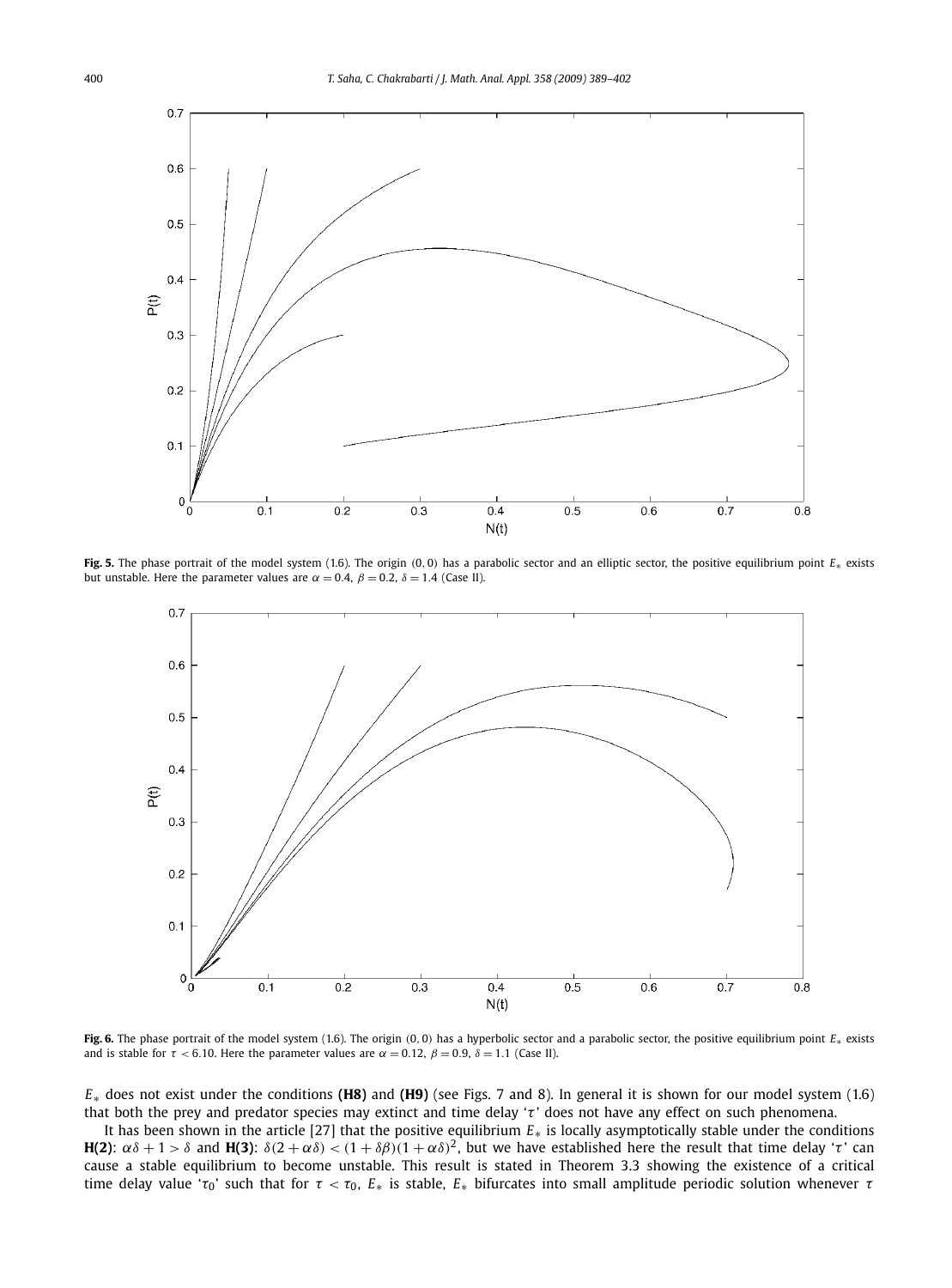

**Fig. 5.** The phase portrait of the model system (1.6). The origin (0, 0) has a parabolic sector and an elliptic sector, the positive equilibrium point *E*<sup>∗</sup> exists but unstable. Here the parameter values are  $\alpha = 0.4$ ,  $\beta = 0.2$ ,  $\delta = 1.4$  (Case II).



**Fig. 6.** The phase portrait of the model system (1.6). The origin (0, 0) has a hyperbolic sector and a parabolic sector, the positive equilibrium point *E*<sup>∗</sup> exists and is stable for  $\tau$  < 6.10. Here the parameter values are  $\alpha$  = 0.12,  $\beta$  = 0.9,  $\delta$  = 1.1 (Case II).

*E*∗ does not exist under the conditions **(H8)** and **(H9)** (see Figs. 7 and 8). In general it is shown for our model system (1.6) that both the prey and predator species may extinct and time delay 'τ ' does not have any effect on such phenomena.

It has been shown in the article [27] that the positive equilibrium *E*∗ is locally asymptotically stable under the conditions **H(2)**:  $\alpha\delta + 1 > \delta$  and **H(3)**:  $\delta(2 + \alpha\delta) < (1 + \delta\beta)(1 + \alpha\delta)^2$ , but we have established here the result that time delay 'τ' can cause a stable equilibrium to become unstable. This result is stated in Theorem 3.3 showing the existence of a critical time delay value ' $\tau_0$ ' such that for  $\tau < \tau_0$ ,  $E_*$  is stable,  $E_*$  bifurcates into small amplitude periodic solution whenever  $\tau$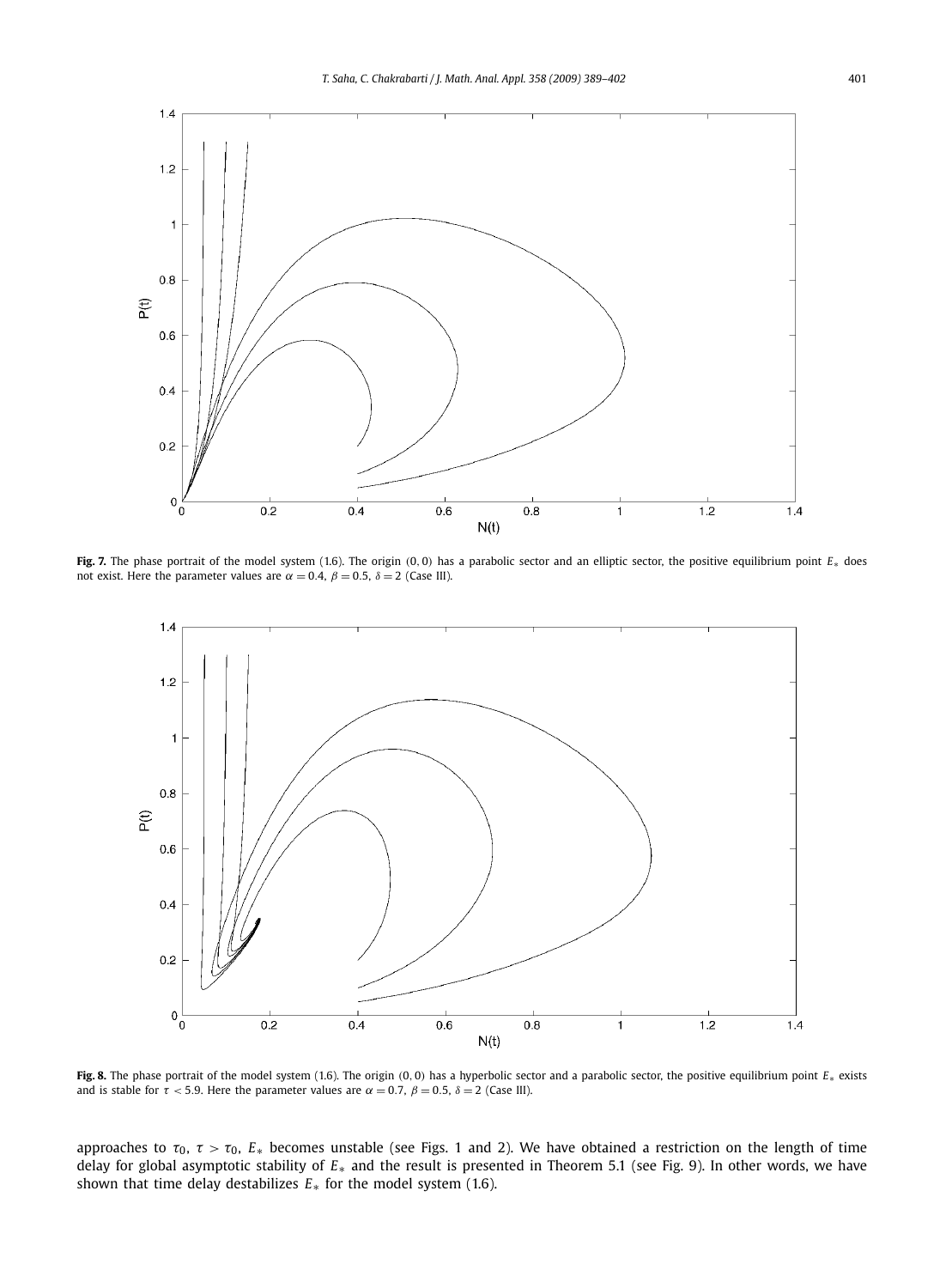

**Fig. 7.** The phase portrait of the model system (1.6). The origin (0, 0) has a parabolic sector and an elliptic sector, the positive equilibrium point *E*<sup>∗</sup> does not exist. Here the parameter values are  $\alpha = 0.4$ ,  $\beta = 0.5$ ,  $\delta = 2$  (Case III).



**Fig. 8.** The phase portrait of the model system (1.6). The origin (0, 0) has a hyperbolic sector and a parabolic sector, the positive equilibrium point *E*<sup>∗</sup> exists and is stable for  $\tau$  < 5.9. Here the parameter values are  $\alpha = 0.7$ ,  $\beta = 0.5$ ,  $\delta = 2$  (Case III).

approaches to  $\tau_0$ ,  $\tau > \tau_0$ ,  $E_*$  becomes unstable (see Figs. 1 and 2). We have obtained a restriction on the length of time delay for global asymptotic stability of *E*∗ and the result is presented in Theorem 5.1 (see Fig. 9). In other words, we have shown that time delay destabilizes *E*∗ for the model system (1.6).